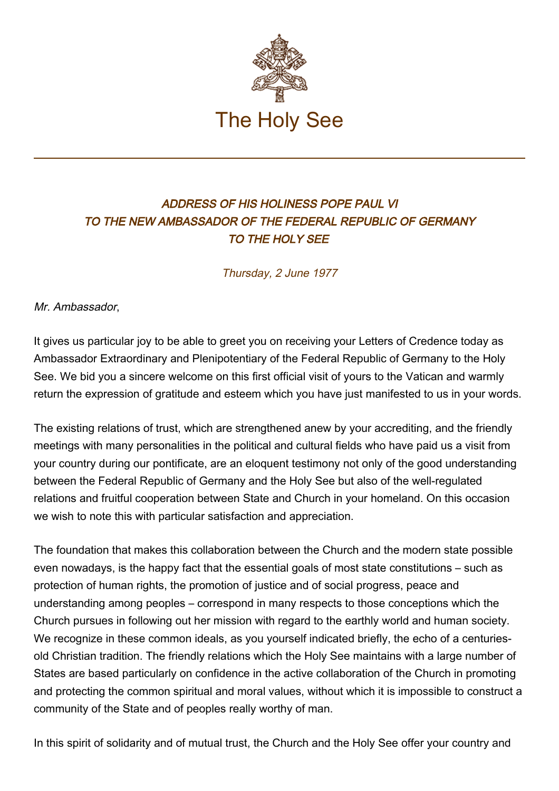

## ADDRESS OF HIS HOLINESS POPE PAUL VI TO THE NEW AMBASSADOR OF THE FEDERAL REPUBLIC OF GERMANY TO THE HOLY SEE

Thursday, 2 June 1977

Mr. Ambassador,

It gives us particular joy to be able to greet you on receiving your Letters of Credence today as Ambassador Extraordinary and Plenipotentiary of the Federal Republic of Germany to the Holy See. We bid you a sincere welcome on this first official visit of yours to the Vatican and warmly return the expression of gratitude and esteem which you have just manifested to us in your words.

The existing relations of trust, which are strengthened anew by your accrediting, and the friendly meetings with many personalities in the political and cultural fields who have paid us a visit from your country during our pontificate, are an eloquent testimony not only of the good understanding between the Federal Republic of Germany and the Holy See but also of the well-regulated relations and fruitful cooperation between State and Church in your homeland. On this occasion we wish to note this with particular satisfaction and appreciation.

The foundation that makes this collaboration between the Church and the modern state possible even nowadays, is the happy fact that the essential goals of most state constitutions – such as protection of human rights, the promotion of justice and of social progress, peace and understanding among peoples – correspond in many respects to those conceptions which the Church pursues in following out her mission with regard to the earthly world and human society. We recognize in these common ideals, as you yourself indicated briefly, the echo of a centuriesold Christian tradition. The friendly relations which the Holy See maintains with a large number of States are based particularly on confidence in the active collaboration of the Church in promoting and protecting the common spiritual and moral values, without which it is impossible to construct a community of the State and of peoples really worthy of man.

In this spirit of solidarity and of mutual trust, the Church and the Holy See offer your country and